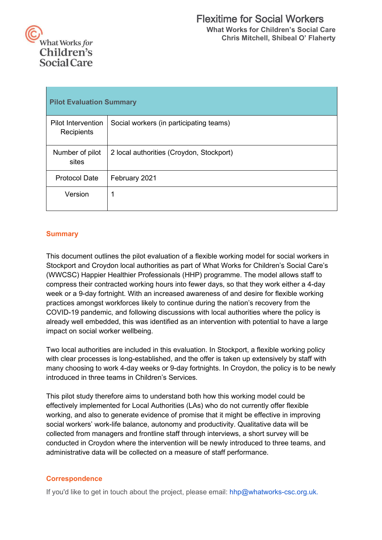

| <b>Pilot Evaluation Summary</b>         |                                          |  |
|-----------------------------------------|------------------------------------------|--|
| <b>Pilot Intervention</b><br>Recipients | Social workers (in participating teams)  |  |
| Number of pilot<br>sites                | 2 local authorities (Croydon, Stockport) |  |
| <b>Protocol Date</b>                    | February 2021                            |  |
| Version                                 |                                          |  |

# **Summary**

This document outlines the pilot evaluation of a flexible working model for social workers in Stockport and Croydon local authorities as part of What Works for Children's Social Care's (WWCSC) Happier Healthier Professionals (HHP) programme. The model allows staff to compress their contracted working hours into fewer days, so that they work either a 4-day week or a 9-day fortnight. With an increased awareness of and desire for flexible working practices amongst workforces likely to continue during the nation's recovery from the COVID-19 pandemic, and following discussions with local authorities where the policy is already well embedded, this was identified as an intervention with potential to have a large impact on social worker wellbeing.

Two local authorities are included in this evaluation. In Stockport, a flexible working policy with clear processes is long-established, and the offer is taken up extensively by staff with many choosing to work 4-day weeks or 9-day fortnights. In Croydon, the policy is to be newly introduced in three teams in Children's Services.

This pilot study therefore aims to understand both how this working model could be effectively implemented for Local Authorities (LAs) who do not currently offer flexible working, and also to generate evidence of promise that it might be effective in improving social workers' work-life balance, autonomy and productivity. Qualitative data will be collected from managers and frontline staff through interviews, a short survey will be conducted in Croydon where the intervention will be newly introduced to three teams, and administrative data will be collected on a measure of staff performance.

# **Correspondence**

If you'd like to get in touch about the project, please email: hhp@whatworks-csc.org.uk.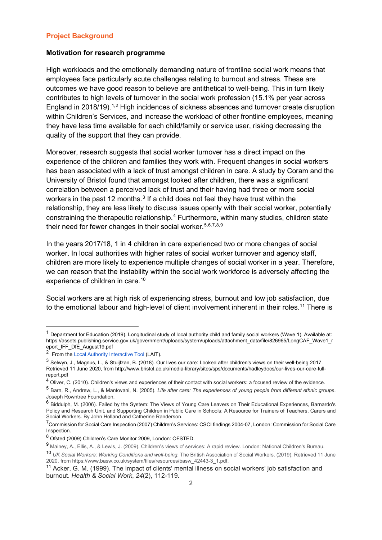#### **Project Background**

#### **Motivation for research programme**

High workloads and the emotionally demanding nature of frontline social work means that employees face particularly acute challenges relating to burnout and stress. These are outcomes we have good reason to believe are antithetical to well-being. This in turn likely contributes to high levels of turnover in the social work profession (15.1% per year across England in 2018/19).<sup>[1,](#page-1-0)[2](#page-1-1)</sup> High incidences of sickness absences and turnover create disruption within Children's Services, and increase the workload of other frontline employees, meaning they have less time available for each child/family or service user, risking decreasing the quality of the support that they can provide.

Moreover, research suggests that social worker turnover has a direct impact on the experience of the children and families they work with. Frequent changes in social workers has been associated with a lack of trust amongst children in care. A study by Coram and the University of Bristol found that amongst looked after children, there was a significant correlation between a perceived lack of trust and their having had three or more social workers in the past 12 months. $3$  If a child does not feel they have trust within the relationship, they are less likely to discuss issues openly with their social worker, potentially constraining the therapeutic relationship.[4](#page-1-3) Furthermore, within many studies, children state their need for fewer changes in their social worker. [5](#page-1-4),[6](#page-1-5),[7,](#page-1-6)[8](#page-1-7),[9](#page-1-8)

In the years 2017/18, 1 in 4 children in care experienced two or more changes of social worker. In local authorities with higher rates of social worker turnover and agency staff, children are more likely to experience multiple changes of social worker in a year. Therefore, we can reason that the instability within the social work workforce is adversely affecting the experience of children in care.<sup>[10](#page-1-9)</sup>

Social workers are at high risk of experiencing stress, burnout and low job satisfaction, due to the emotional labour and high-level of client involvement inherent in their roles.<sup>[11](#page-1-10)</sup> There is

<span id="page-1-0"></span> $1$  Department for Education (2019). Longitudinal study of local authority child and family social workers (Wave 1). Available at: https://assets.publishing.service.gov.uk/government/uploads/system/uploads/attachment\_data/file/826965/LongCAF\_Wave1\_r eport\_IFF\_DfE\_August19.pdf

<span id="page-1-1"></span><sup>&</sup>lt;sup>2</sup> From the Local Authority Interactive Tool (LAIT).

<span id="page-1-2"></span><sup>3</sup> Selwyn, J., Magnus, L., & Stuijfzan, B. (2018). Our lives our care: Looked after children's views on their well-being 2017. Retrieved 11 June 2020, from http://www.bristol.ac.uk/media-library/sites/sps/documents/hadleydocs/our-lives-our-care-fullreport.pdf

<span id="page-1-3"></span><sup>&</sup>lt;sup>4</sup> Oliver, C. (2010). Children's views and experiences of their contact with social workers: a focused review of the evidence.

<span id="page-1-4"></span><sup>5</sup> Barn, R., Andrew, L., & Mantovani, N. (2005). *Life after care: The experiences of young people from different ethnic groups*. Joseph Rowntree Foundation.

<span id="page-1-5"></span><sup>6</sup> Biddulph, M. (2006). Failed by the System: The Views of Young Care Leavers on Their Educational Experiences, Barnardo's Policy and Research Unit, and Supporting Children in Public Care in Schools: A Resource for Trainers of Teachers, Carers and Social Workers. By John Holland and Catherine Randerson.

<span id="page-1-6"></span> $^7$ Commission for Social Care Inspection (2007) Children's Services: CSCI findings 2004-07, London: Commission for Social Care Inspection.

<span id="page-1-7"></span><sup>8</sup> Ofsted (2009) Children's Care Monitor 2009, London: OFSTED.

<span id="page-1-8"></span><sup>9</sup> Mainey, A., Ellis, A., & Lewis, J. (2009). Children's views of services: A rapid review. London: National Children's Bureau.

<span id="page-1-9"></span><sup>10</sup> *UK Social Workers: Working Conditions and well-being*. The British Association of Social Workers. (2019). Retrieved 11 June 2020, from https://www.basw.co.uk/system/files/resources/basw\_42443-3\_1.pdf.

<span id="page-1-10"></span><sup>11</sup> Acker, G. M. (1999). The impact of clients' mental illness on social workers' job satisfaction and burnout. *Health & Social Work*, *24*(2), 112-119.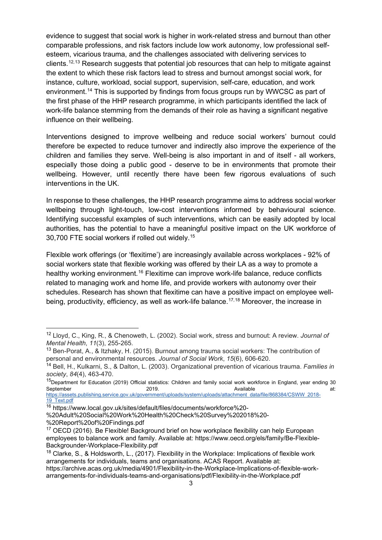evidence to suggest that social work is higher in work-related stress and burnout than other comparable professions, and risk factors include low work autonomy, low professional selfesteem, vicarious trauma, and the challenges associated with delivering services to clients.<sup>[12](#page-2-0),[13](#page-2-1)</sup> Research suggests that potential job resources that can help to mitigate against the extent to which these risk factors lead to stress and burnout amongst social work, for instance, culture, workload, social support, supervision, self-care, education, and work environment.<sup>[14](#page-2-2)</sup> This is supported by findings from focus groups run by WWCSC as part of the first phase of the HHP research programme, in which participants identified the lack of work-life balance stemming from the demands of their role as having a significant negative influence on their wellbeing.

Interventions designed to improve wellbeing and reduce social workers' burnout could therefore be expected to reduce turnover and indirectly also improve the experience of the children and families they serve. Well-being is also important in and of itself - all workers, especially those doing a public good - deserve to be in environments that promote their wellbeing. However, until recently there have been few rigorous evaluations of such interventions in the UK.

In response to these challenges, the HHP research programme aims to address social worker wellbeing through light-touch, low-cost interventions informed by behavioural science. Identifying successful examples of such interventions, which can be easily adopted by local authorities, has the potential to have a meaningful positive impact on the UK workforce of 30,700 FTE social workers if rolled out widely.[15](#page-2-3)

Flexible work offerings (or 'flexitime') are increasingly available across workplaces - 92% of social workers state that flexible working was offered by their LA as a way to promote a healthy working environment.<sup>[16](#page-2-4)</sup> Flexitime can improve work-life balance, reduce conflicts related to managing work and home life, and provide workers with autonomy over their schedules. Research has shown that flexitime can have a positive impact on employee well-being, productivity, efficiency, as well as work-life balance.<sup>[17,](#page-2-5)[18](#page-2-6)</sup> Moreover, the increase in

<span id="page-2-0"></span><sup>12</sup> Lloyd, C., King, R., & Chenoweth, L. (2002). Social work, stress and burnout: A review. *Journal of Mental Health*, *11*(3), 255-265.

<span id="page-2-1"></span><sup>13</sup> Ben-Porat, A., & Itzhaky, H. (2015). Burnout among trauma social workers: The contribution of personal and environmental resources. *Journal of Social Work*, *15*(6), 606-620.

<span id="page-2-2"></span><sup>14</sup> Bell, H., Kulkarni, S., & Dalton, L. (2003). Organizational prevention of vicarious trauma. *Families in society*, *84*(4), 463-470.

<span id="page-2-3"></span> $^{15}$ Department for Education (2019) Official statistics: Children and family social work workforce in England, year ending 30<br>at: at: September 2019. Available at:

[https://assets.publishing.service.gov.uk/government/uploads/system/uploads/attachment\\_data/file/868384/CSWW\\_2018-](https://assets.publishing.service.gov.uk/government/uploads/system/uploads/attachment_data/file/868384/CSWW_2018-19_Text.pdf) 19 Text.pdf

<span id="page-2-4"></span><sup>16</sup> https://www.local.gov.uk/sites/default/files/documents/workforce%20-

<sup>%20</sup>Adult%20Social%20Work%20Health%20Check%20Survey%202018%20- %20Report%20of%20Findings.pdf

<span id="page-2-5"></span><sup>&</sup>lt;sup>17</sup> OECD (2016). Be Flexible! Background brief on how workplace flexibility can help European employees to balance work and family. Available at: https://www.oecd.org/els/family/Be-Flexible-Backgrounder-Workplace-Flexibility.pdf

<span id="page-2-6"></span><sup>&</sup>lt;sup>18</sup> Clarke, S., & Holdsworth, L., (2017). Flexibility in the Workplace: Implications of flexible work arrangements for individuals, teams and organisations. ACAS Report. Available at: https://archive.acas.org.uk/media/4901/Flexibility-in-the-Workplace-Implications-of-flexible-workarrangements-for-individuals-teams-and-organisations/pdf/Flexibility-in-the-Workplace.pdf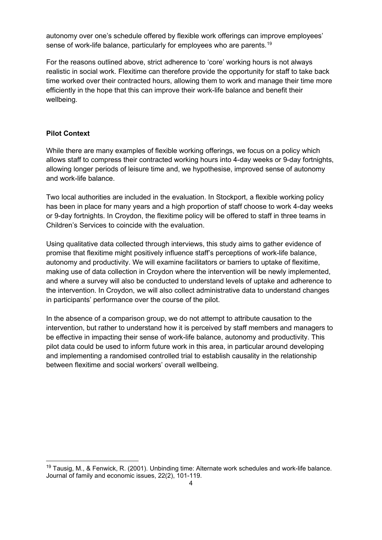autonomy over one's schedule offered by flexible work offerings can improve employees' sense of work-life balance, particularly for employees who are parents.<sup>[19](#page-3-0)</sup>

For the reasons outlined above, strict adherence to 'core' working hours is not always realistic in social work. Flexitime can therefore provide the opportunity for staff to take back time worked over their contracted hours, allowing them to work and manage their time more efficiently in the hope that this can improve their work-life balance and benefit their wellbeing.

### **Pilot Context**

While there are many examples of flexible working offerings, we focus on a policy which allows staff to compress their contracted working hours into 4-day weeks or 9-day fortnights, allowing longer periods of leisure time and, we hypothesise, improved sense of autonomy and work-life balance.

Two local authorities are included in the evaluation. In Stockport, a flexible working policy has been in place for many years and a high proportion of staff choose to work 4-day weeks or 9-day fortnights. In Croydon, the flexitime policy will be offered to staff in three teams in Children's Services to coincide with the evaluation.

Using qualitative data collected through interviews, this study aims to gather evidence of promise that flexitime might positively influence staff's perceptions of work-life balance, autonomy and productivity. We will examine facilitators or barriers to uptake of flexitime, making use of data collection in Croydon where the intervention will be newly implemented, and where a survey will also be conducted to understand levels of uptake and adherence to the intervention. In Croydon, we will also collect administrative data to understand changes in participants' performance over the course of the pilot.

In the absence of a comparison group, we do not attempt to attribute causation to the intervention, but rather to understand how it is perceived by staff members and managers to be effective in impacting their sense of work-life balance, autonomy and productivity. This pilot data could be used to inform future work in this area, in particular around developing and implementing a randomised controlled trial to establish causality in the relationship between flexitime and social workers' overall wellbeing.

<span id="page-3-0"></span> $19$  Tausig, M., & Fenwick, R. (2001). Unbinding time: Alternate work schedules and work-life balance. Journal of family and economic issues, 22(2), 101-119.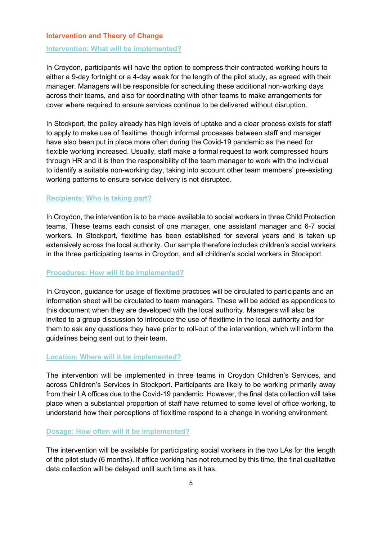#### **Intervention and Theory of Change**

#### **Intervention: What will be implemented?**

In Croydon, participants will have the option to compress their contracted working hours to either a 9-day fortnight or a 4-day week for the length of the pilot study, as agreed with their manager. Managers will be responsible for scheduling these additional non-working days across their teams, and also for coordinating with other teams to make arrangements for cover where required to ensure services continue to be delivered without disruption.

In Stockport, the policy already has high levels of uptake and a clear process exists for staff to apply to make use of flexitime, though informal processes between staff and manager have also been put in place more often during the Covid-19 pandemic as the need for flexible working increased. Usually, staff make a formal request to work compressed hours through HR and it is then the responsibility of the team manager to work with the individual to identify a suitable non-working day, taking into account other team members' pre-existing working patterns to ensure service delivery is not disrupted.

#### **Recipients: Who is taking part?**

In Croydon, the intervention is to be made available to social workers in three Child Protection teams. These teams each consist of one manager, one assistant manager and 6-7 social workers. In Stockport, flexitime has been established for several years and is taken up extensively across the local authority. Our sample therefore includes children's social workers in the three participating teams in Croydon, and all children's social workers in Stockport.

#### **Procedures: How will it be implemented?**

In Croydon, guidance for usage of flexitime practices will be circulated to participants and an information sheet will be circulated to team managers. These will be added as appendices to this document when they are developed with the local authority. Managers will also be invited to a group discussion to introduce the use of flexitime in the local authority and for them to ask any questions they have prior to roll-out of the intervention, which will inform the guidelines being sent out to their team.

#### **Location: Where will it be implemented?**

The intervention will be implemented in three teams in Croydon Children's Services, and across Children's Services in Stockport. Participants are likely to be working primarily away from their LA offices due to the Covid-19 pandemic. However, the final data collection will take place when a substantial proportion of staff have returned to some level of office working, to understand how their perceptions of flexitime respond to a change in working environment.

#### **Dosage: How often will it be implemented?**

The intervention will be available for participating social workers in the two LAs for the length of the pilot study (6 months). If office working has not returned by this time, the final qualitative data collection will be delayed until such time as it has.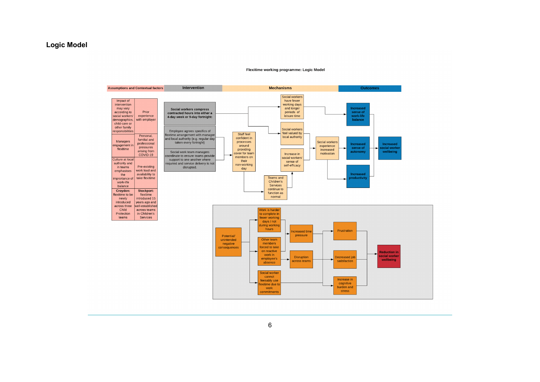#### **Logic Model**

#### Flexitime working programme: Logic Model

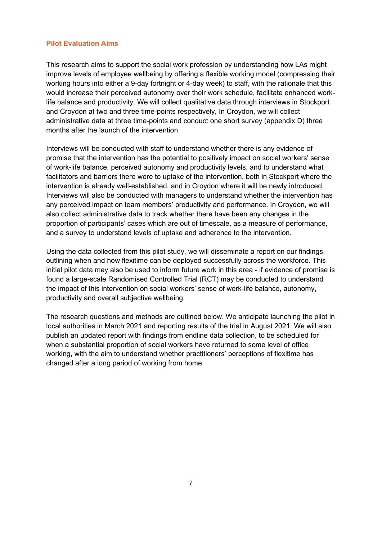#### **Pilot Evaluation Aims**

This research aims to support the social work profession by understanding how LAs might improve levels of employee wellbeing by offering a flexible working model (compressing their working hours into either a 9-day fortnight or 4-day week) to staff, with the rationale that this would increase their perceived autonomy over their work schedule, facilitate enhanced worklife balance and productivity. We will collect qualitative data through interviews in Stockport and Croydon at two and three time-points respectively, In Croydon, we will collect administrative data at three time-points and conduct one short survey (appendix D) three months after the launch of the intervention.

Interviews will be conducted with staff to understand whether there is any evidence of promise that the intervention has the potential to positively impact on social workers' sense of work-life balance, perceived autonomy and productivity levels, and to understand what facilitators and barriers there were to uptake of the intervention, both in Stockport where the intervention is already well-established, and in Croydon where it will be newly introduced. Interviews will also be conducted with managers to understand whether the intervention has any perceived impact on team members' productivity and performance. In Croydon, we will also collect administrative data to track whether there have been any changes in the proportion of participants' cases which are out of timescale, as a measure of performance, and a survey to understand levels of uptake and adherence to the intervention.

Using the data collected from this pilot study, we will disseminate a report on our findings, outlining when and how flexitime can be deployed successfully across the workforce. This initial pilot data may also be used to inform future work in this area - if evidence of promise is found a large-scale Randomised Controlled Trial (RCT) may be conducted to understand the impact of this intervention on social workers' sense of work-life balance, autonomy, productivity and overall subjective wellbeing.

The research questions and methods are outlined below. We anticipate launching the pilot in local authorities in March 2021 and reporting results of the trial in August 2021. We will also publish an updated report with findings from endline data collection, to be scheduled for when a substantial proportion of social workers have returned to some level of office working, with the aim to understand whether practitioners' perceptions of flexitime has changed after a long period of working from home.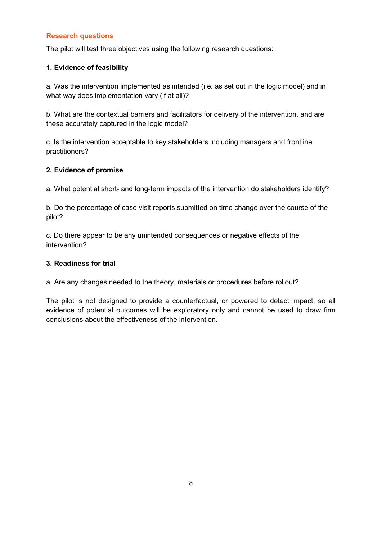### **Research questions**

The pilot will test three objectives using the following research questions:

#### **1. Evidence of feasibility**

a. Was the intervention implemented as intended (i.e. as set out in the logic model) and in what way does implementation vary (if at all)?

b. What are the contextual barriers and facilitators for delivery of the intervention, and are these accurately captured in the logic model?

c. Is the intervention acceptable to key stakeholders including managers and frontline practitioners?

#### **2. Evidence of promise**

a. What potential short- and long-term impacts of the intervention do stakeholders identify?

b. Do the percentage of case visit reports submitted on time change over the course of the pilot?

c. Do there appear to be any unintended consequences or negative effects of the intervention?

#### **3. Readiness for trial**

a. Are any changes needed to the theory, materials or procedures before rollout?

The pilot is not designed to provide a counterfactual, or powered to detect impact, so all evidence of potential outcomes will be exploratory only and cannot be used to draw firm conclusions about the effectiveness of the intervention.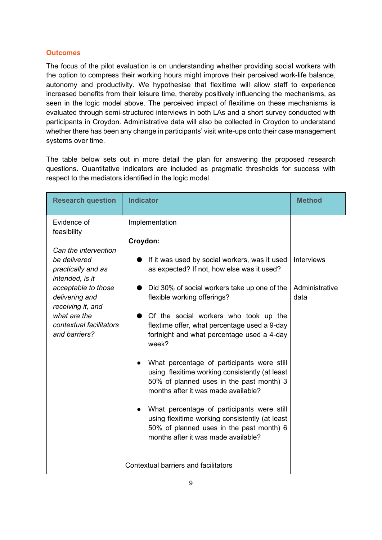#### **Outcomes**

The focus of the pilot evaluation is on understanding whether providing social workers with the option to compress their working hours might improve their perceived work-life balance, autonomy and productivity. We hypothesise that flexitime will allow staff to experience increased benefits from their leisure time, thereby positively influencing the mechanisms, as seen in the logic model above. The perceived impact of flexitime on these mechanisms is evaluated through semi-structured interviews in both LAs and a short survey conducted with participants in Croydon. Administrative data will also be collected in Croydon to understand whether there has been any change in participants' visit write-ups onto their case management systems over time.

The table below sets out in more detail the plan for answering the proposed research questions. Quantitative indicators are included as pragmatic thresholds for success with respect to the mediators identified in the logic model.

| <b>Indicator</b>                                                                                                                                                                                                                                                                                                                                                                                                                                                                                                                                                        | <b>Method</b>                                                                          |
|-------------------------------------------------------------------------------------------------------------------------------------------------------------------------------------------------------------------------------------------------------------------------------------------------------------------------------------------------------------------------------------------------------------------------------------------------------------------------------------------------------------------------------------------------------------------------|----------------------------------------------------------------------------------------|
| Implementation                                                                                                                                                                                                                                                                                                                                                                                                                                                                                                                                                          |                                                                                        |
| Croydon:<br>If it was used by social workers, was it used<br>as expected? If not, how else was it used?<br>Did 30% of social workers take up one of the<br>flexible working offerings?<br>Of the social workers who took up the<br>flextime offer, what percentage used a 9-day<br>fortnight and what percentage used a 4-day<br>week?<br>What percentage of participants were still<br>using flexitime working consistently (at least<br>50% of planned uses in the past month) 3<br>months after it was made available?<br>What percentage of participants were still | <b>Interviews</b><br>Administrative<br>data                                            |
| 50% of planned uses in the past month) 6<br>months after it was made available?                                                                                                                                                                                                                                                                                                                                                                                                                                                                                         |                                                                                        |
|                                                                                                                                                                                                                                                                                                                                                                                                                                                                                                                                                                         | using flexitime working consistently (at least<br>Contextual barriers and facilitators |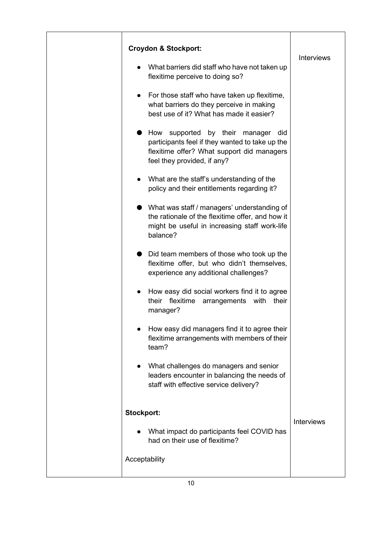| <b>Croydon &amp; Stockport:</b>                                                                                                                                             |                   |
|-----------------------------------------------------------------------------------------------------------------------------------------------------------------------------|-------------------|
| What barriers did staff who have not taken up<br>flexitime perceive to doing so?                                                                                            | <b>Interviews</b> |
| For those staff who have taken up flexitime,<br>$\bullet$<br>what barriers do they perceive in making<br>best use of it? What has made it easier?                           |                   |
| supported by their<br>How<br>did<br>manager<br>participants feel if they wanted to take up the<br>flexitime offer? What support did managers<br>feel they provided, if any? |                   |
| What are the staff's understanding of the<br>policy and their entitlements regarding it?                                                                                    |                   |
| What was staff / managers' understanding of<br>the rationale of the flexitime offer, and how it<br>might be useful in increasing staff work-life<br>balance?                |                   |
| Did team members of those who took up the<br>flexitime offer, but who didn't themselves,<br>experience any additional challenges?                                           |                   |
| How easy did social workers find it to agree<br>flexitime<br>their<br>arrangements with<br>their<br>manager?                                                                |                   |
| How easy did managers find it to agree their<br>flexitime arrangements with members of their<br>team?                                                                       |                   |
| What challenges do managers and senior<br>leaders encounter in balancing the needs of<br>staff with effective service delivery?                                             |                   |
| Stockport:                                                                                                                                                                  |                   |
| What impact do participants feel COVID has<br>had on their use of flexitime?                                                                                                | <b>Interviews</b> |
| Acceptability                                                                                                                                                               |                   |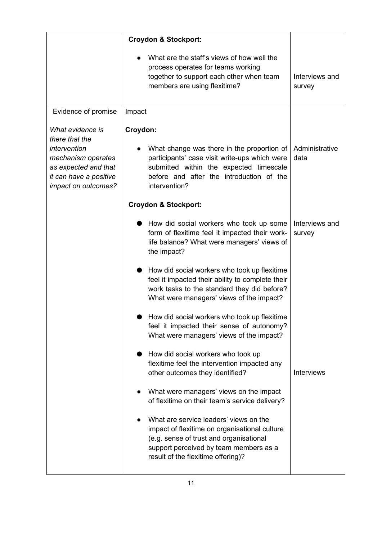|                                                                                                                                                   | <b>Croydon &amp; Stockport:</b>                                                                                                                                                                                    |                          |
|---------------------------------------------------------------------------------------------------------------------------------------------------|--------------------------------------------------------------------------------------------------------------------------------------------------------------------------------------------------------------------|--------------------------|
|                                                                                                                                                   | What are the staff's views of how well the<br>process operates for teams working<br>together to support each other when team<br>members are using flexitime?                                                       | Interviews and<br>survey |
| Evidence of promise                                                                                                                               | Impact                                                                                                                                                                                                             |                          |
| What evidence is<br>there that the<br>intervention<br>mechanism operates<br>as expected and that<br>it can have a positive<br>impact on outcomes? | Croydon:<br>What change was there in the proportion of<br>participants' case visit write-ups which were<br>submitted within the expected timescale<br>before and after the introduction of the<br>intervention?    | Administrative<br>data   |
|                                                                                                                                                   | <b>Croydon &amp; Stockport:</b>                                                                                                                                                                                    |                          |
|                                                                                                                                                   | How did social workers who took up some<br>form of flexitime feel it impacted their work-<br>life balance? What were managers' views of<br>the impact?                                                             | Interviews and<br>survey |
|                                                                                                                                                   | How did social workers who took up flexitime<br>feel it impacted their ability to complete their<br>work tasks to the standard they did before?<br>What were managers' views of the impact?                        |                          |
|                                                                                                                                                   | How did social workers who took up flexitime<br>feel it impacted their sense of autonomy?<br>What were managers' views of the impact?                                                                              |                          |
|                                                                                                                                                   | How did social workers who took up<br>flexitime feel the intervention impacted any<br>other outcomes they identified?                                                                                              | <b>Interviews</b>        |
|                                                                                                                                                   | What were managers' views on the impact<br>of flexitime on their team's service delivery?                                                                                                                          |                          |
|                                                                                                                                                   | What are service leaders' views on the<br>impact of flexitime on organisational culture<br>(e.g. sense of trust and organisational<br>support perceived by team members as a<br>result of the flexitime offering)? |                          |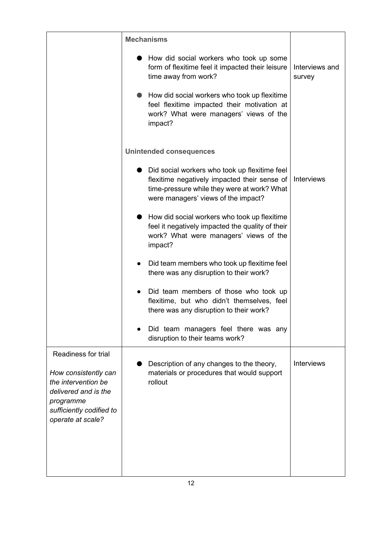|                                                                                                                                                          | <b>Mechanisms</b>                                                                                                                                                                   |                          |
|----------------------------------------------------------------------------------------------------------------------------------------------------------|-------------------------------------------------------------------------------------------------------------------------------------------------------------------------------------|--------------------------|
|                                                                                                                                                          | How did social workers who took up some<br>form of flexitime feel it impacted their leisure<br>time away from work?                                                                 | Interviews and<br>survey |
|                                                                                                                                                          | How did social workers who took up flexitime<br>feel flexitime impacted their motivation at<br>work? What were managers' views of the<br>impact?                                    |                          |
|                                                                                                                                                          | <b>Unintended consequences</b>                                                                                                                                                      |                          |
|                                                                                                                                                          | Did social workers who took up flexitime feel<br>flexitime negatively impacted their sense of<br>time-pressure while they were at work? What<br>were managers' views of the impact? | <b>Interviews</b>        |
|                                                                                                                                                          | How did social workers who took up flexitime<br>feel it negatively impacted the quality of their<br>work? What were managers' views of the<br>impact?                               |                          |
|                                                                                                                                                          | Did team members who took up flexitime feel<br>there was any disruption to their work?                                                                                              |                          |
|                                                                                                                                                          | Did team members of those who took up<br>flexitime, but who didn't themselves, feel<br>there was any disruption to their work?                                                      |                          |
|                                                                                                                                                          | Did team managers feel there was any<br>disruption to their teams work?                                                                                                             |                          |
| Readiness for trial<br>How consistently can<br>the intervention be<br>delivered and is the<br>programme<br>sufficiently codified to<br>operate at scale? | Description of any changes to the theory,<br>materials or procedures that would support<br>rollout                                                                                  | <b>Interviews</b>        |
|                                                                                                                                                          |                                                                                                                                                                                     |                          |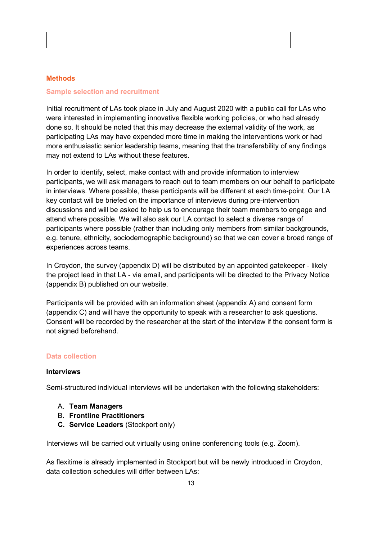#### **Methods**

#### **Sample selection and recruitment**

Initial recruitment of LAs took place in July and August 2020 with a public call for LAs who were interested in implementing innovative flexible working policies, or who had already done so. It should be noted that this may decrease the external validity of the work, as participating LAs may have expended more time in making the interventions work or had more enthusiastic senior leadership teams, meaning that the transferability of any findings may not extend to LAs without these features.

In order to identify, select, make contact with and provide information to interview participants, we will ask managers to reach out to team members on our behalf to participate in interviews. Where possible, these participants will be different at each time-point. Our LA key contact will be briefed on the importance of interviews during pre-intervention discussions and will be asked to help us to encourage their team members to engage and attend where possible. We will also ask our LA contact to select a diverse range of participants where possible (rather than including only members from similar backgrounds, e.g. tenure, ethnicity, sociodemographic background) so that we can cover a broad range of experiences across teams.

In Croydon, the survey (appendix D) will be distributed by an appointed gatekeeper - likely the project lead in that LA - via email, and participants will be directed to the Privacy Notice (appendix B) published on our website.

Participants will be provided with an information sheet (appendix A) and consent form (appendix C) and will have the opportunity to speak with a researcher to ask questions. Consent will be recorded by the researcher at the start of the interview if the consent form is not signed beforehand.

#### **Data collection**

#### **Interviews**

Semi-structured individual interviews will be undertaken with the following stakeholders:

- A. **Team Managers**
- B. **Frontline Practitioners**
- **C. Service Leaders** (Stockport only)

Interviews will be carried out virtually using online conferencing tools (e.g. Zoom).

As flexitime is already implemented in Stockport but will be newly introduced in Croydon, data collection schedules will differ between LAs: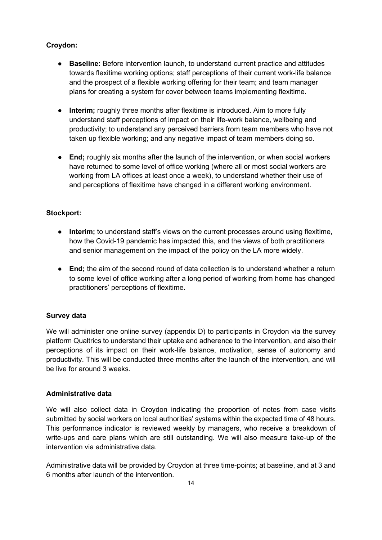### **Croydon:**

- **Baseline:** Before intervention launch, to understand current practice and attitudes towards flexitime working options; staff perceptions of their current work-life balance and the prospect of a flexible working offering for their team; and team manager plans for creating a system for cover between teams implementing flexitime.
- **Interim;** roughly three months after flexitime is introduced. Aim to more fully understand staff perceptions of impact on their life-work balance, wellbeing and productivity; to understand any perceived barriers from team members who have not taken up flexible working; and any negative impact of team members doing so.
- **End;** roughly six months after the launch of the intervention, or when social workers have returned to some level of office working (where all or most social workers are working from LA offices at least once a week), to understand whether their use of and perceptions of flexitime have changed in a different working environment.

#### **Stockport:**

- **Interim;** to understand staff's views on the current processes around using flexitime, how the Covid-19 pandemic has impacted this, and the views of both practitioners and senior management on the impact of the policy on the LA more widely.
- **End;** the aim of the second round of data collection is to understand whether a return to some level of office working after a long period of working from home has changed practitioners' perceptions of flexitime.

#### **Survey data**

We will administer one online survey (appendix D) to participants in Croydon via the survey platform Qualtrics to understand their uptake and adherence to the intervention, and also their perceptions of its impact on their work-life balance, motivation, sense of autonomy and productivity. This will be conducted three months after the launch of the intervention, and will be live for around 3 weeks.

#### **Administrative data**

We will also collect data in Croydon indicating the proportion of notes from case visits submitted by social workers on local authorities' systems within the expected time of 48 hours. This performance indicator is reviewed weekly by managers, who receive a breakdown of write-ups and care plans which are still outstanding. We will also measure take-up of the intervention via administrative data.

Administrative data will be provided by Croydon at three time-points; at baseline, and at 3 and 6 months after launch of the intervention.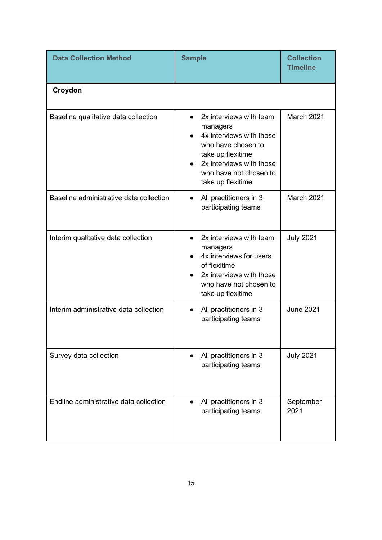| <b>Data Collection Method</b>           | <b>Sample</b>                                                                                                                                                                         | <b>Collection</b><br><b>Timeline</b> |
|-----------------------------------------|---------------------------------------------------------------------------------------------------------------------------------------------------------------------------------------|--------------------------------------|
| Croydon                                 |                                                                                                                                                                                       |                                      |
| Baseline qualitative data collection    | 2x interviews with team<br>managers<br>4x interviews with those<br>who have chosen to<br>take up flexitime<br>2x interviews with those<br>who have not chosen to<br>take up flexitime | <b>March 2021</b>                    |
| Baseline administrative data collection | All practitioners in 3<br>$\bullet$<br>participating teams                                                                                                                            | March 2021                           |
| Interim qualitative data collection     | 2x interviews with team<br>managers<br>4x interviews for users<br>of flexitime<br>2x interviews with those<br>who have not chosen to<br>take up flexitime                             | <b>July 2021</b>                     |
| Interim administrative data collection  | All practitioners in 3<br>participating teams                                                                                                                                         | <b>June 2021</b>                     |
| Survey data collection                  | All practitioners in 3<br>participating teams                                                                                                                                         | <b>July 2021</b>                     |
| Endline administrative data collection  | All practitioners in 3<br>participating teams                                                                                                                                         | September<br>2021                    |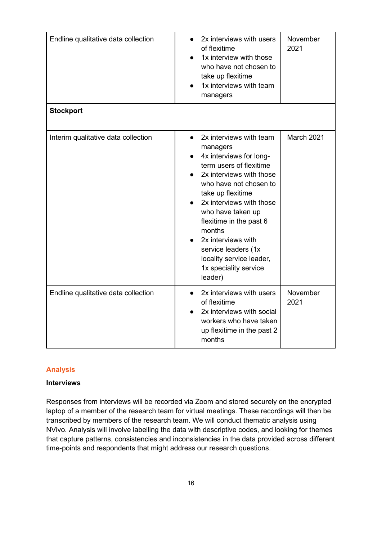| Endline qualitative data collection | 2x interviews with users<br>of flexitime<br>1x interview with those<br>who have not chosen to<br>take up flexitime<br>1x interviews with team<br>managers                                                                                                                                                                                                               | November<br>2021 |
|-------------------------------------|-------------------------------------------------------------------------------------------------------------------------------------------------------------------------------------------------------------------------------------------------------------------------------------------------------------------------------------------------------------------------|------------------|
| <b>Stockport</b>                    |                                                                                                                                                                                                                                                                                                                                                                         |                  |
| Interim qualitative data collection | 2x interviews with team<br>managers<br>4x interviews for long-<br>term users of flexitime<br>2x interviews with those<br>who have not chosen to<br>take up flexitime<br>2x interviews with those<br>who have taken up<br>flexitime in the past 6<br>months<br>2x interviews with<br>service leaders (1x<br>locality service leader,<br>1x speciality service<br>leader) | March 2021       |
| Endline qualitative data collection | 2x interviews with users<br>$\bullet$<br>of flexitime<br>2x interviews with social<br>workers who have taken<br>up flexitime in the past 2<br>months                                                                                                                                                                                                                    | November<br>2021 |

#### **Analysis**

### **Interviews**

Responses from interviews will be recorded via Zoom and stored securely on the encrypted laptop of a member of the research team for virtual meetings. These recordings will then be transcribed by members of the research team. We will conduct thematic analysis using NVivo. Analysis will involve labelling the data with descriptive codes, and looking for themes that capture patterns, consistencies and inconsistencies in the data provided across different time-points and respondents that might address our research questions.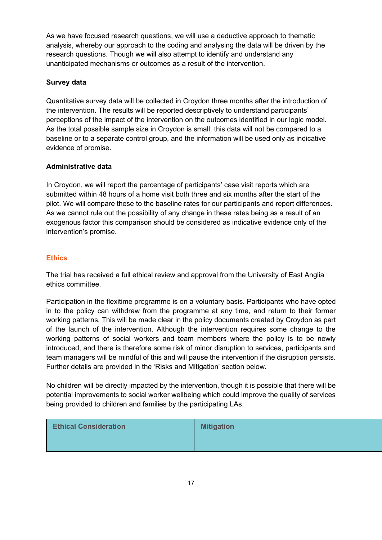As we have focused research questions, we will use a deductive approach to thematic analysis, whereby our approach to the coding and analysing the data will be driven by the research questions. Though we will also attempt to identify and understand any unanticipated mechanisms or outcomes as a result of the intervention.

### **Survey data**

Quantitative survey data will be collected in Croydon three months after the introduction of the intervention. The results will be reported descriptively to understand participants' perceptions of the impact of the intervention on the outcomes identified in our logic model. As the total possible sample size in Croydon is small, this data will not be compared to a baseline or to a separate control group, and the information will be used only as indicative evidence of promise.

#### **Administrative data**

In Croydon, we will report the percentage of participants' case visit reports which are submitted within 48 hours of a home visit both three and six months after the start of the pilot. We will compare these to the baseline rates for our participants and report differences. As we cannot rule out the possibility of any change in these rates being as a result of an exogenous factor this comparison should be considered as indicative evidence only of the intervention's promise.

### **Ethics**

The trial has received a full ethical review and approval from the University of East Anglia ethics committee.

Participation in the flexitime programme is on a voluntary basis. Participants who have opted in to the policy can withdraw from the programme at any time, and return to their former working patterns. This will be made clear in the policy documents created by Croydon as part of the launch of the intervention. Although the intervention requires some change to the working patterns of social workers and team members where the policy is to be newly introduced, and there is therefore some risk of minor disruption to services, participants and team managers will be mindful of this and will pause the intervention if the disruption persists. Further details are provided in the 'Risks and Mitigation' section below.

No children will be directly impacted by the intervention, though it is possible that there will be potential improvements to social worker wellbeing which could improve the quality of services being provided to children and families by the participating LAs.

| <b>Ethical Consideration</b> | <b>Mitigation</b> |
|------------------------------|-------------------|
|                              |                   |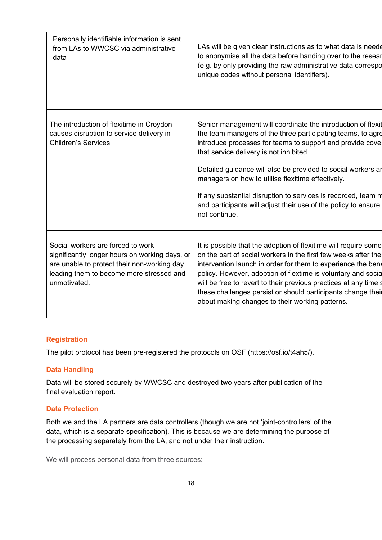| The introduction of flexitime in Croydon<br>causes disruption to service delivery in<br><b>Children's Services</b><br>that service delivery is not inhibited.<br>managers on how to utilise flexitime effectively.<br>not continue.<br>Social workers are forced to work<br>significantly longer hours on working days, or<br>are unable to protect their non-working day,<br>leading them to become more stressed and<br>unmotivated.<br>about making changes to their working patterns. | Personally identifiable information is sent<br>from LAs to WWCSC via administrative<br>data | LAs will be given clear instructions as to what data is neede<br>to anonymise all the data before handing over to the resear<br>(e.g. by only providing the raw administrative data correspo<br>unique codes without personal identifiers).                                                                                                                                                           |
|-------------------------------------------------------------------------------------------------------------------------------------------------------------------------------------------------------------------------------------------------------------------------------------------------------------------------------------------------------------------------------------------------------------------------------------------------------------------------------------------|---------------------------------------------------------------------------------------------|-------------------------------------------------------------------------------------------------------------------------------------------------------------------------------------------------------------------------------------------------------------------------------------------------------------------------------------------------------------------------------------------------------|
|                                                                                                                                                                                                                                                                                                                                                                                                                                                                                           |                                                                                             | Senior management will coordinate the introduction of flexit<br>the team managers of the three participating teams, to agre<br>introduce processes for teams to support and provide cove<br>Detailed guidance will also be provided to social workers ar<br>If any substantial disruption to services is recorded, team m<br>and participants will adjust their use of the policy to ensure           |
|                                                                                                                                                                                                                                                                                                                                                                                                                                                                                           |                                                                                             | It is possible that the adoption of flexitime will require some<br>on the part of social workers in the first few weeks after the<br>intervention launch in order for them to experience the bene<br>policy. However, adoption of flextime is voluntary and socia<br>will be free to revert to their previous practices at any time s<br>these challenges persist or should participants change their |

# **Registration**

The pilot protocol has been pre-registered the protocols on OSF (https://osf.io/t4ah5/).

### **Data Handling**

Data will be stored securely by WWCSC and destroyed two years after publication of the final evaluation report.

# **Data Protection**

Both we and the LA partners are data controllers (though we are not 'joint-controllers' of the data, which is a separate specification). This is because we are determining the purpose of the processing separately from the LA, and not under their instruction.

We will process personal data from three sources: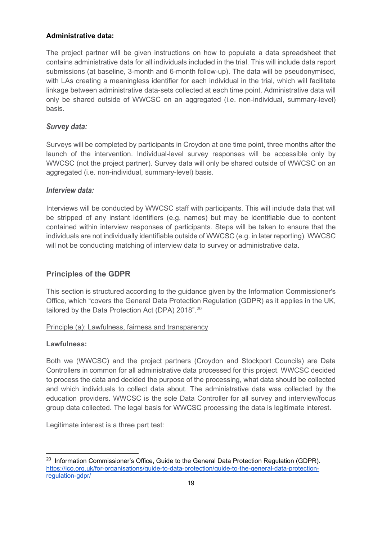#### **Administrative data:**

The project partner will be given instructions on how to populate a data spreadsheet that contains administrative data for all individuals included in the trial. This will include data report submissions (at baseline, 3-month and 6-month follow-up). The data will be pseudonymised, with LAs creating a meaningless identifier for each individual in the trial, which will facilitate linkage between administrative data-sets collected at each time point. Administrative data will only be shared outside of WWCSC on an aggregated (i.e. non-individual, summary-level) basis.

# *Survey data:*

Surveys will be completed by participants in Croydon at one time point, three months after the launch of the intervention. Individual-level survey responses will be accessible only by WWCSC (not the project partner). Survey data will only be shared outside of WWCSC on an aggregated (i.e. non-individual, summary-level) basis.

# *Interview data:*

Interviews will be conducted by WWCSC staff with participants. This will include data that will be stripped of any instant identifiers (e.g. names) but may be identifiable due to content contained within interview responses of participants. Steps will be taken to ensure that the individuals are not individually identifiable outside of WWCSC (e.g. in later reporting). WWCSC will not be conducting matching of interview data to survey or administrative data.

# **Principles of the GDPR**

This section is structured according to the guidance given by the Information Commissioner's Office, which "covers the General Data Protection Regulation (GDPR) as it applies in the UK, tailored by the Data Protection Act (DPA) [20](#page-18-0)18".<sup>20</sup>

#### Principle (a): Lawfulness, fairness and transparency

#### **Lawfulness:**

Both we (WWCSC) and the project partners (Croydon and Stockport Councils) are Data Controllers in common for all administrative data processed for this project. WWCSC decided to process the data and decided the purpose of the processing, what data should be collected and which individuals to collect data about. The administrative data was collected by the education providers. WWCSC is the sole Data Controller for all survey and interview/focus group data collected. The legal basis for WWCSC processing the data is legitimate interest.

Legitimate interest is a three part test:

<span id="page-18-0"></span> $20$  Information Commissioner's Office, Guide to the General Data Protection Regulation (GDPR). [https://ico.org.uk/for-organisations/guide-to-data-protection/guide-to-the-general-data-protection](https://ico.org.uk/for-organisations/guide-to-data-protection/guide-to-the-general-data-protection-regulation-gdpr/)[regulation-gdpr/](https://ico.org.uk/for-organisations/guide-to-data-protection/guide-to-the-general-data-protection-regulation-gdpr/)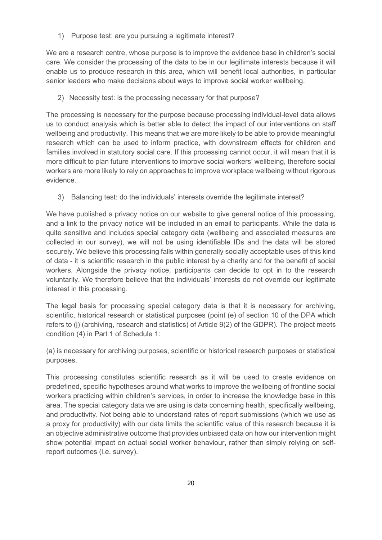1) Purpose test: are you pursuing a legitimate interest?

We are a research centre, whose purpose is to improve the evidence base in children's social care. We consider the processing of the data to be in our legitimate interests because it will enable us to produce research in this area, which will benefit local authorities, in particular senior leaders who make decisions about ways to improve social worker wellbeing.

2) Necessity test: is the processing necessary for that purpose?

The processing is necessary for the purpose because processing individual-level data allows us to conduct analysis which is better able to detect the impact of our interventions on staff wellbeing and productivity. This means that we are more likely to be able to provide meaningful research which can be used to inform practice, with downstream effects for children and families involved in statutory social care. If this processing cannot occur, it will mean that it is more difficult to plan future interventions to improve social workers' wellbeing, therefore social workers are more likely to rely on approaches to improve workplace wellbeing without rigorous evidence.

3) Balancing test: do the individuals' interests override the legitimate interest?

We have published a privacy notice on our website to give general notice of this processing, and a link to the privacy notice will be included in an email to participants. While the data is quite sensitive and includes special category data (wellbeing and associated measures are collected in our survey), we will not be using identifiable IDs and the data will be stored securely. We believe this processing falls within generally socially acceptable uses of this kind of data - it is scientific research in the public interest by a charity and for the benefit of social workers. Alongside the privacy notice, participants can decide to opt in to the research voluntarily. We therefore believe that the individuals' interests do not override our legitimate interest in this processing.

The legal basis for processing special category data is that it is necessary for archiving, scientific, historical research or statistical purposes (point (e) of section 10 of the DPA which refers to (j) (archiving, research and statistics) of Article 9(2) of the GDPR). The project meets condition (4) in Part 1 of Schedule 1:

(a) is necessary for archiving purposes, scientific or historical research purposes or statistical purposes.

This processing constitutes scientific research as it will be used to create evidence on predefined, specific hypotheses around what works to improve the wellbeing of frontline social workers practicing within children's services, in order to increase the knowledge base in this area. The special category data we are using is data concerning health, specifically wellbeing, and productivity. Not being able to understand rates of report submissions (which we use as a proxy for productivity) with our data limits the scientific value of this research because it is an objective administrative outcome that provides unbiased data on how our intervention might show potential impact on actual social worker behaviour, rather than simply relying on selfreport outcomes (i.e. survey).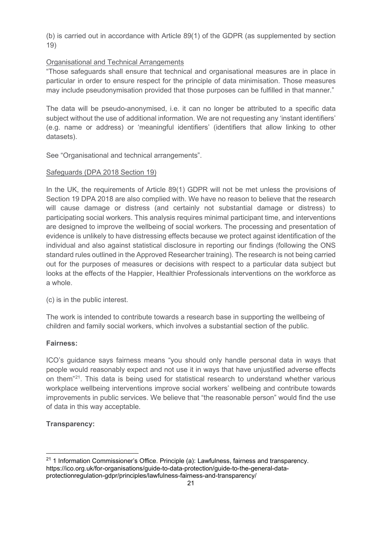(b) is carried out in accordance with Article 89(1) of the GDPR (as supplemented by section 19)

### Organisational and Technical Arrangements

"Those safeguards shall ensure that technical and organisational measures are in place in particular in order to ensure respect for the principle of data minimisation. Those measures may include pseudonymisation provided that those purposes can be fulfilled in that manner."

The data will be pseudo-anonymised, i.e. it can no longer be attributed to a specific data subject without the use of additional information. We are not requesting any 'instant identifiers' (e.g. name or address) or 'meaningful identifiers' (identifiers that allow linking to other datasets).

See "Organisational and technical arrangements".

### Safeguards (DPA 2018 Section 19)

In the UK, the requirements of Article 89(1) GDPR will not be met unless the provisions of Section 19 DPA 2018 are also complied with. We have no reason to believe that the research will cause damage or distress (and certainly not substantial damage or distress) to participating social workers. This analysis requires minimal participant time, and interventions are designed to improve the wellbeing of social workers. The processing and presentation of evidence is unlikely to have distressing effects because we protect against identification of the individual and also against statistical disclosure in reporting our findings (following the ONS standard rules outlined in the Approved Researcher training). The research is not being carried out for the purposes of measures or decisions with respect to a particular data subject but looks at the effects of the Happier, Healthier Professionals interventions on the workforce as a whole.

(c) is in the public interest.

The work is intended to contribute towards a research base in supporting the wellbeing of children and family social workers, which involves a substantial section of the public.

# **Fairness:**

ICO's guidance says fairness means "you should only handle personal data in ways that people would reasonably expect and not use it in ways that have unjustified adverse effects on them"[21](#page-20-0). This data is being used for statistical research to understand whether various workplace wellbeing interventions improve social workers' wellbeing and contribute towards improvements in public services. We believe that "the reasonable person" would find the use of data in this way acceptable.

# **Transparency:**

<span id="page-20-0"></span> $21$  1 Information Commissioner's Office. Principle (a): Lawfulness, fairness and transparency. https://ico.org.uk/for-organisations/guide-to-data-protection/guide-to-the-general-dataprotectionregulation-gdpr/principles/lawfulness-fairness-and-transparency/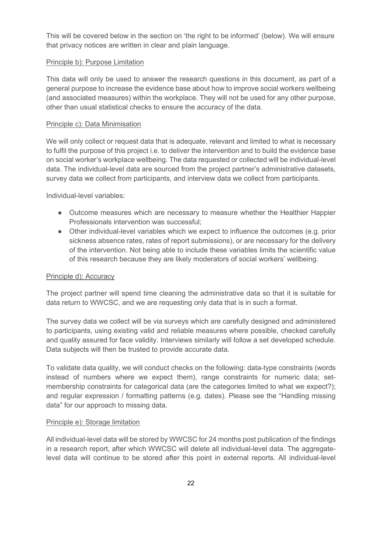This will be covered below in the section on 'the right to be informed' (below). We will ensure that privacy notices are written in clear and plain language.

#### Principle b): Purpose Limitation

This data will only be used to answer the research questions in this document, as part of a general purpose to increase the evidence base about how to improve social workers wellbeing (and associated measures) within the workplace. They will not be used for any other purpose, other than usual statistical checks to ensure the accuracy of the data.

#### Principle c): Data Minimisation

We will only collect or request data that is adequate, relevant and limited to what is necessary to fulfil the purpose of this project i.e. to deliver the intervention and to build the evidence base on social worker's workplace wellbeing. The data requested or collected will be individual-level data. The individual-level data are sourced from the project partner's administrative datasets, survey data we collect from participants, and interview data we collect from participants.

Individual-level variables:

- Outcome measures which are necessary to measure whether the Healthier Happier Professionals intervention was successful;
- Other individual-level variables which we expect to influence the outcomes (e.g. prior sickness absence rates, rates of report submissions), or are necessary for the delivery of the intervention. Not being able to include these variables limits the scientific value of this research because they are likely moderators of social workers' wellbeing.

#### Principle d): Accuracy

The project partner will spend time cleaning the administrative data so that it is suitable for data return to WWCSC, and we are requesting only data that is in such a format.

The survey data we collect will be via surveys which are carefully designed and administered to participants, using existing valid and reliable measures where possible, checked carefully and quality assured for face validity. Interviews similarly will follow a set developed schedule. Data subjects will then be trusted to provide accurate data.

To validate data quality, we will conduct checks on the following: data-type constraints (words instead of numbers where we expect them), range constraints for numeric data; setmembership constraints for categorical data (are the categories limited to what we expect?); and regular expression / formatting patterns (e.g. dates). Please see the "Handling missing data" for our approach to missing data.

#### Principle e): Storage limitation

All individual-level data will be stored by WWCSC for 24 months post publication of the findings in a research report, after which WWCSC will delete all individual-level data. The aggregatelevel data will continue to be stored after this point in external reports. All individual-level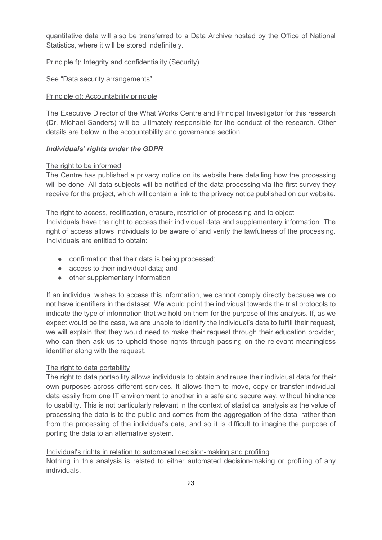quantitative data will also be transferred to a Data Archive hosted by the Office of National Statistics, where it will be stored indefinitely.

#### Principle f): Integrity and confidentiality (Security)

See "Data security arrangements".

#### Principle g): Accountability principle

The Executive Director of the What Works Centre and Principal Investigator for this research (Dr. Michael Sanders) will be ultimately responsible for the conduct of the research. Other details are below in the accountability and governance section.

#### *Individuals' rights under the GDPR*

#### The right to be informed

The Centre has published a privacy notice on its website [here](https://whatworks-csc.org.uk/wp-content/uploads/WWCSC_HHP2_Privacy_Notice_-SWINGSymbolicAwards_Oct2020.pdf) detailing how the processing will be done. All data subjects will be notified of the data processing via the first survey they receive for the project, which will contain a link to the privacy notice published on our website.

#### The right to access, rectification, erasure, restriction of processing and to object

Individuals have the right to access their individual data and supplementary information. The right of access allows individuals to be aware of and verify the lawfulness of the processing. Individuals are entitled to obtain:

- confirmation that their data is being processed;
- access to their individual data; and
- other supplementary information

If an individual wishes to access this information, we cannot comply directly because we do not have identifiers in the dataset. We would point the individual towards the trial protocols to indicate the type of information that we hold on them for the purpose of this analysis. If, as we expect would be the case, we are unable to identify the individual's data to fulfill their request, we will explain that they would need to make their request through their education provider, who can then ask us to uphold those rights through passing on the relevant meaningless identifier along with the request.

#### The right to data portability

The right to data portability allows individuals to obtain and reuse their individual data for their own purposes across different services. It allows them to move, copy or transfer individual data easily from one IT environment to another in a safe and secure way, without hindrance to usability. This is not particularly relevant in the context of statistical analysis as the value of processing the data is to the public and comes from the aggregation of the data, rather than from the processing of the individual's data, and so it is difficult to imagine the purpose of porting the data to an alternative system.

#### Individual's rights in relation to automated decision-making and profiling

Nothing in this analysis is related to either automated decision-making or profiling of any individuals.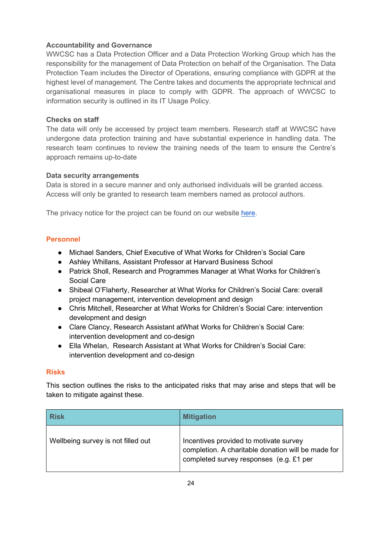### **Accountability and Governance**

WWCSC has a Data Protection Officer and a Data Protection Working Group which has the responsibility for the management of Data Protection on behalf of the Organisation. The Data Protection Team includes the Director of Operations, ensuring compliance with GDPR at the highest level of management. The Centre takes and documents the appropriate technical and organisational measures in place to comply with GDPR. The approach of WWCSC to information security is outlined in its IT Usage Policy.

#### **Checks on staff**

The data will only be accessed by project team members. Research staff at WWCSC have undergone data protection training and have substantial experience in handling data. The research team continues to review the training needs of the team to ensure the Centre's approach remains up-to-date

#### **Data security arrangements**

Data is stored in a secure manner and only authorised individuals will be granted access. Access will only be granted to research team members named as protocol authors.

The privacy notice for the project can be found on our website [here.](https://whatworks-csc.org.uk/wp-content/uploads/WWCSC_HHP2_Privacy_Notice_Flexitime_Apr2021.pdf)

### **Personnel**

- Michael Sanders, Chief Executive of What Works for Children's Social Care
- Ashley Whillans, Assistant Professor at Harvard Business School
- Patrick Sholl, Research and Programmes Manager at What Works for Children's Social Care
- Shibeal O'Flaherty, Researcher at What Works for Children's Social Care: overall project management, intervention development and design
- Chris Mitchell, Researcher at What Works for Children's Social Care: intervention development and design
- Clare Clancy, Research Assistant atWhat Works for Children's Social Care: intervention development and co-design
- Ella Whelan, Research Assistant at What Works for Children's Social Care: intervention development and co-design

#### **Risks**

This section outlines the risks to the anticipated risks that may arise and steps that will be taken to mitigate against these.

| <b>Risk</b>                        | <b>Mitigation</b>                                                                                                                       |
|------------------------------------|-----------------------------------------------------------------------------------------------------------------------------------------|
| Wellbeing survey is not filled out | Incentives provided to motivate survey<br>completion. A charitable donation will be made for<br>completed survey responses (e.g. £1 per |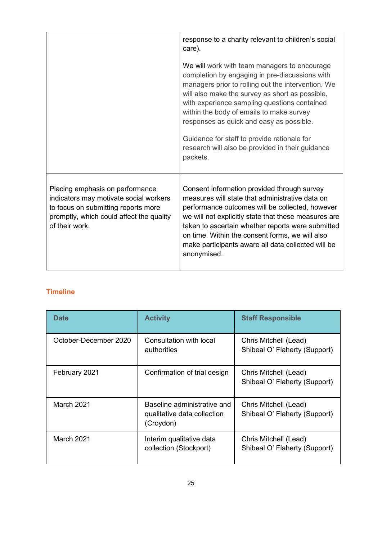|                                                                                                                                                                                | response to a charity relevant to children's social<br>care).<br>We will work with team managers to encourage                                                                                                                                                                                                                                                                                                  |
|--------------------------------------------------------------------------------------------------------------------------------------------------------------------------------|----------------------------------------------------------------------------------------------------------------------------------------------------------------------------------------------------------------------------------------------------------------------------------------------------------------------------------------------------------------------------------------------------------------|
|                                                                                                                                                                                | completion by engaging in pre-discussions with<br>managers prior to rolling out the intervention. We<br>will also make the survey as short as possible,<br>with experience sampling questions contained<br>within the body of emails to make survey<br>responses as quick and easy as possible.<br>Guidance for staff to provide rationale for<br>research will also be provided in their guidance<br>packets. |
| Placing emphasis on performance<br>indicators may motivate social workers<br>to focus on submitting reports more<br>promptly, which could affect the quality<br>of their work. | Consent information provided through survey<br>measures will state that administrative data on<br>performance outcomes will be collected, however<br>we will not explicitly state that these measures are<br>taken to ascertain whether reports were submitted<br>on time. Within the consent forms, we will also<br>make participants aware all data collected will be<br>anonymised.                         |

# **Timeline**

| <b>Date</b>           | <b>Activity</b>                                                         | <b>Staff Responsible</b>                               |
|-----------------------|-------------------------------------------------------------------------|--------------------------------------------------------|
| October-December 2020 | Consultation with local<br>authorities                                  | Chris Mitchell (Lead)<br>Shibeal O' Flaherty (Support) |
| February 2021         | Confirmation of trial design                                            | Chris Mitchell (Lead)<br>Shibeal O' Flaherty (Support) |
| March 2021            | Baseline administrative and<br>qualitative data collection<br>(Croydon) | Chris Mitchell (Lead)<br>Shibeal O' Flaherty (Support) |
| <b>March 2021</b>     | Interim qualitative data<br>collection (Stockport)                      | Chris Mitchell (Lead)<br>Shibeal O' Flaherty (Support) |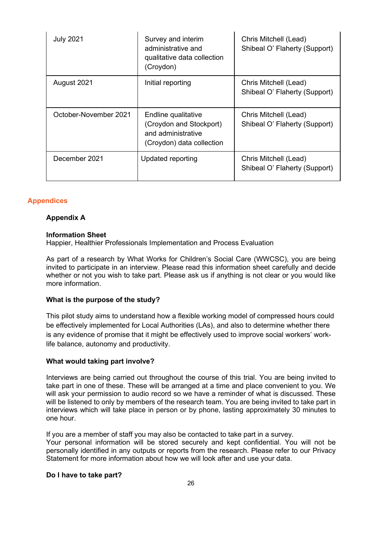| <b>July 2021</b>      | Survey and interim<br>administrative and<br>qualitative data collection<br>(Croydon)              | Chris Mitchell (Lead)<br>Shibeal O' Flaherty (Support) |
|-----------------------|---------------------------------------------------------------------------------------------------|--------------------------------------------------------|
| August 2021           | Initial reporting                                                                                 | Chris Mitchell (Lead)<br>Shibeal O' Flaherty (Support) |
| October-November 2021 | Endline qualitative<br>(Croydon and Stockport)<br>and administrative<br>(Croydon) data collection | Chris Mitchell (Lead)<br>Shibeal O' Flaherty (Support) |
| December 2021         | Updated reporting                                                                                 | Chris Mitchell (Lead)<br>Shibeal O' Flaherty (Support) |

#### **Appendices**

#### **Appendix A**

#### **Information Sheet**

Happier, Healthier Professionals Implementation and Process Evaluation

As part of a research by What Works for Children's Social Care (WWCSC), you are being invited to participate in an interview. Please read this information sheet carefully and decide whether or not you wish to take part. Please ask us if anything is not clear or you would like more information.

#### **What is the purpose of the study?**

This pilot study aims to understand how a flexible working model of compressed hours could be effectively implemented for Local Authorities (LAs), and also to determine whether there is any evidence of promise that it might be effectively used to improve social workers' worklife balance, autonomy and productivity.

#### **What would taking part involve?**

Interviews are being carried out throughout the course of this trial. You are being invited to take part in one of these. These will be arranged at a time and place convenient to you. We will ask your permission to audio record so we have a reminder of what is discussed. These will be listened to only by members of the research team. You are being invited to take part in interviews which will take place in person or by phone, lasting approximately 30 minutes to one hour.

If you are a member of staff you may also be contacted to take part in a survey.

Your personal information will be stored securely and kept confidential. You will not be personally identified in any outputs or reports from the research. Please refer to our Privacy Statement for more information about how we will look after and use your data.

#### **Do I have to take part?**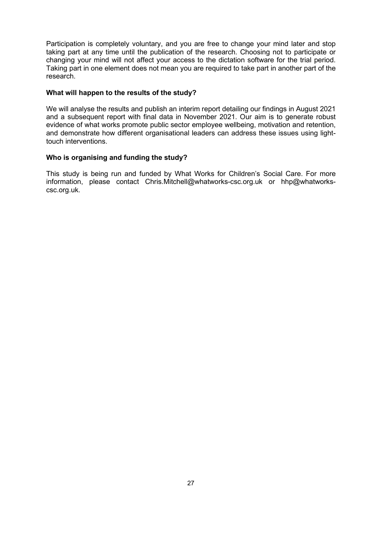Participation is completely voluntary, and you are free to change your mind later and stop taking part at any time until the publication of the research. Choosing not to participate or changing your mind will not affect your access to the dictation software for the trial period. Taking part in one element does not mean you are required to take part in another part of the research.

#### **What will happen to the results of the study?**

We will analyse the results and publish an interim report detailing our findings in August 2021 and a subsequent report with final data in November 2021. Our aim is to generate robust evidence of what works promote public sector employee wellbeing, motivation and retention, and demonstrate how different organisational leaders can address these issues using lighttouch interventions.

#### **Who is organising and funding the study?**

This study is being run and funded by What Works for Children's Social Care. For more information, please contact Chris.Mitchell@whatworks-csc.org.uk or hhp@whatworkscsc.org.uk.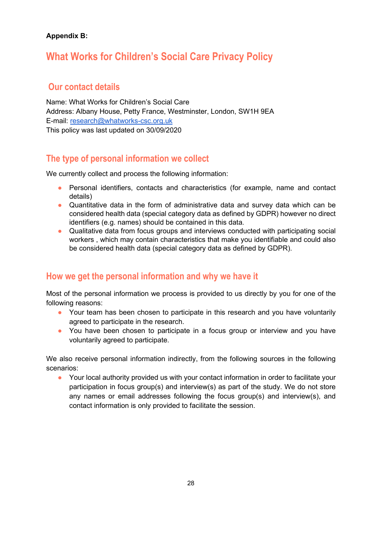# **Appendix B:**

# **What Works for Children's Social Care Privacy Policy**

# **Our contact details**

Name: What Works for Children's Social Care Address: Albany House, Petty France, Westminster, London, SW1H 9EA E-mail: [research@whatworks-csc.org.uk](mailto:research@whatworks-csc.org.uk) This policy was last updated on 30/09/2020

# **The type of personal information we collect**

We currently collect and process the following information:

- Personal identifiers, contacts and characteristics (for example, name and contact details)
- Quantitative data in the form of administrative data and survey data which can be considered health data (special category data as defined by GDPR) however no direct identifiers (e.g. names) should be contained in this data.
- Qualitative data from focus groups and interviews conducted with participating social workers , which may contain characteristics that make you identifiable and could also be considered health data (special category data as defined by GDPR).

# **How we get the personal information and why we have it**

Most of the personal information we process is provided to us directly by you for one of the following reasons:

- Your team has been chosen to participate in this research and you have voluntarily agreed to participate in the research.
- You have been chosen to participate in a focus group or interview and you have voluntarily agreed to participate.

We also receive personal information indirectly, from the following sources in the following scenarios:

● Your local authority provided us with your contact information in order to facilitate your participation in focus group(s) and interview(s) as part of the study. We do not store any names or email addresses following the focus group(s) and interview(s), and contact information is only provided to facilitate the session.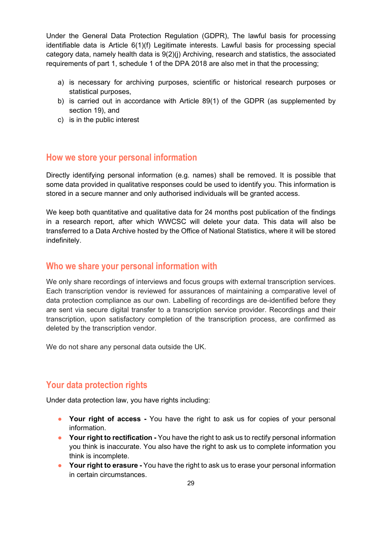Under the General Data Protection Regulation (GDPR), The lawful basis for processing identifiable data is Article 6(1)(f) Legitimate interests. Lawful basis for processing special category data, namely health data is 9(2)(j) Archiving, research and statistics, the associated requirements of part 1, schedule 1 of the DPA 2018 are also met in that the processing;

- a) is necessary for archiving purposes, scientific or historical research purposes or statistical purposes,
- b) is carried out in accordance with Article 89(1) of the GDPR (as supplemented by section 19), and
- c) is in the public interest

# **How we store your personal information**

Directly identifying personal information (e.g. names) shall be removed. It is possible that some data provided in qualitative responses could be used to identify you. This information is stored in a secure manner and only authorised individuals will be granted access.

We keep both quantitative and qualitative data for 24 months post publication of the findings in a research report, after which WWCSC will delete your data. This data will also be transferred to a Data Archive hosted by the Office of National Statistics, where it will be stored indefinitely.

# **Who we share your personal information with**

We only share recordings of interviews and focus groups with external transcription services. Each transcription vendor is reviewed for assurances of maintaining a comparative level of data protection compliance as our own. Labelling of recordings are de-identified before they are sent via secure digital transfer to a transcription service provider. Recordings and their transcription, upon satisfactory completion of the transcription process, are confirmed as deleted by the transcription vendor.

We do not share any personal data outside the UK.

# **Your data protection rights**

Under data protection law, you have rights including:

- Your right of access You have the right to ask us for copies of your personal information.
- **Your right to rectification -** You have the right to ask us to rectify personal information you think is inaccurate. You also have the right to ask us to complete information you think is incomplete.
- **Your right to erasure -** You have the right to ask us to erase your personal information in certain circumstances.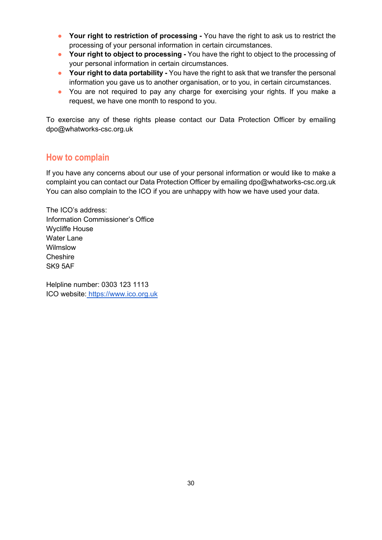- **Your right to restriction of processing -** You have the right to ask us to restrict the processing of your personal information in certain circumstances.
- **Your right to object to processing -** You have the right to object to the processing of your personal information in certain circumstances.
- **Your right to data portability -** You have the right to ask that we transfer the personal information you gave us to another organisation, or to you, in certain circumstances.
- You are not required to pay any charge for exercising your rights. If you make a request, we have one month to respond to you.

To exercise any of these rights please contact our Data Protection Officer by emailing dpo@whatworks-csc.org.uk

# **How to complain**

If you have any concerns about our use of your personal information or would like to make a complaint you can contact our Data Protection Officer by emailing dpo@whatworks-csc.org.uk You can also complain to the ICO if you are unhappy with how we have used your data.

The ICO's address: Information Commissioner's Office Wycliffe House Water Lane **Wilmslow Cheshire** SK9 5AF

Helpline number: 0303 123 1113 ICO website: [https://www.ico.org.uk](https://www.ico.org.uk/)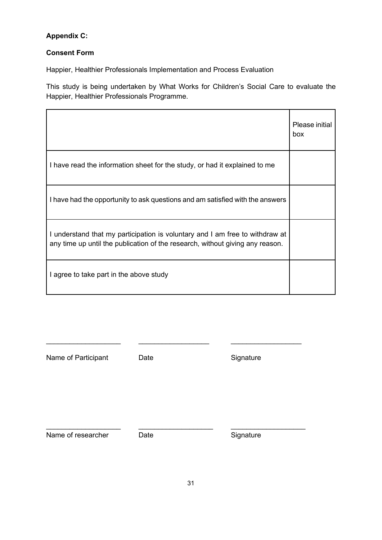# **Appendix C:**

# **Consent Form**

Happier, Healthier Professionals Implementation and Process Evaluation

This study is being undertaken by What Works for Children's Social Care to evaluate the Happier, Healthier Professionals Programme.

|                                                                                                                                                               | Please initial<br>box |
|---------------------------------------------------------------------------------------------------------------------------------------------------------------|-----------------------|
| I have read the information sheet for the study, or had it explained to me                                                                                    |                       |
| I have had the opportunity to ask questions and am satisfied with the answers                                                                                 |                       |
| I understand that my participation is voluntary and I am free to withdraw at<br>any time up until the publication of the research, without giving any reason. |                       |
| I agree to take part in the above study                                                                                                                       |                       |

\_\_\_\_\_\_\_\_\_\_\_\_\_\_\_\_\_\_\_ \_\_\_\_\_\_\_\_\_\_\_\_\_\_\_\_\_\_ \_\_\_\_\_\_\_\_\_\_\_\_\_\_\_\_\_\_

 $\_$  ,  $\_$  ,  $\_$  ,  $\_$  ,  $\_$  ,  $\_$  ,  $\_$  ,  $\_$  ,  $\_$  ,  $\_$  ,  $\_$  ,  $\_$  ,  $\_$  ,  $\_$  ,  $\_$  ,  $\_$  ,  $\_$ 

Date **Date** Signature

Name of researcher Date Date Signature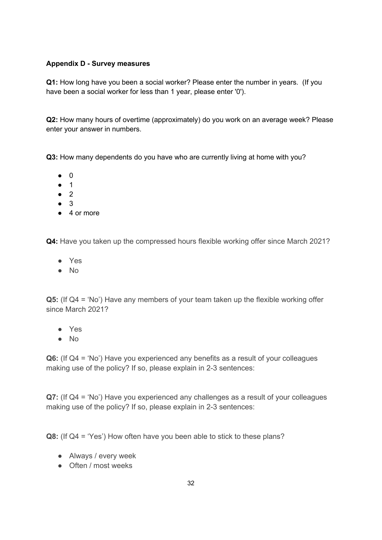### **Appendix D - Survey measures**

**Q1:** How long have you been a social worker? Please enter the number in years. (If you have been a social worker for less than 1 year, please enter '0').

**Q2:** How many hours of overtime (approximately) do you work on an average week? Please enter your answer in numbers.

**Q3:** How many dependents do you have who are currently living at home with you?

- 0
- 1
- 2
- 3
- 4 or more

**Q4:** Have you taken up the compressed hours flexible working offer since March 2021?

- Yes
- No

**Q5:** (If Q4 = 'No') Have any members of your team taken up the flexible working offer since March 2021?

- Yes
- No

**Q6:** (If Q4 = 'No') Have you experienced any benefits as a result of your colleagues making use of the policy? If so, please explain in 2-3 sentences:

**Q7:** (If Q4 = 'No') Have you experienced any challenges as a result of your colleagues making use of the policy? If so, please explain in 2-3 sentences:

**Q8:** (If Q4 = 'Yes') How often have you been able to stick to these plans?

- Always / every week
- Often / most weeks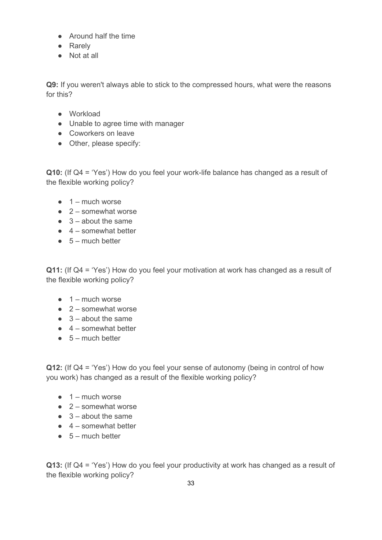- Around half the time
- Rarely
- Not at all

**Q9:** If you weren't always able to stick to the compressed hours, what were the reasons for this?

- Workload
- Unable to agree time with manager
- Coworkers on leave
- Other, please specify:

**Q10:** (If Q4 = 'Yes') How do you feel your work-life balance has changed as a result of the flexible working policy?

- $\bullet$  1 much worse
- $\bullet$  2 somewhat worse
- $\bullet$  3 about the same
- $\bullet$  4 somewhat better
- $\bullet$  5 much better

**Q11:** (If Q4 = 'Yes') How do you feel your motivation at work has changed as a result of the flexible working policy?

- $\bullet$  1 much worse
- $\bullet$  2 somewhat worse
- $\bullet$  3 about the same
- $\bullet$  4 somewhat better
- $\bullet$  5 much better

**Q12:** (If Q4 = 'Yes') How do you feel your sense of autonomy (being in control of how you work) has changed as a result of the flexible working policy?

- $\bullet$  1 much worse
- $\bullet$  2 somewhat worse
- $\bullet$  3 about the same
- $\bullet$  4 somewhat better
- $\bullet$  5 much better

**Q13:** (If Q4 = 'Yes') How do you feel your productivity at work has changed as a result of the flexible working policy?